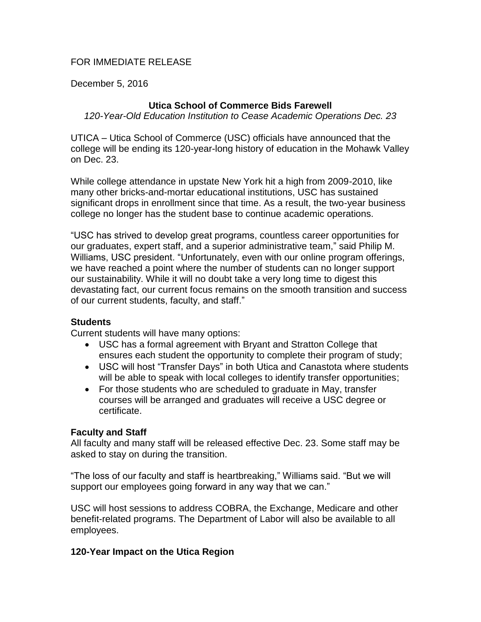## FOR IMMEDIATE RELEASE

December 5, 2016

# **Utica School of Commerce Bids Farewell**

*120-Year-Old Education Institution to Cease Academic Operations Dec. 23*

UTICA – Utica School of Commerce (USC) officials have announced that the college will be ending its 120-year-long history of education in the Mohawk Valley on Dec. 23.

While college attendance in upstate New York hit a high from 2009-2010, like many other bricks-and-mortar educational institutions, USC has sustained significant drops in enrollment since that time. As a result, the two-year business college no longer has the student base to continue academic operations.

"USC has strived to develop great programs, countless career opportunities for our graduates, expert staff, and a superior administrative team," said Philip M. Williams, USC president. "Unfortunately, even with our online program offerings, we have reached a point where the number of students can no longer support our sustainability. While it will no doubt take a very long time to digest this devastating fact, our current focus remains on the smooth transition and success of our current students, faculty, and staff."

### **Students**

Current students will have many options:

- USC has a formal agreement with Bryant and Stratton College that ensures each student the opportunity to complete their program of study;
- USC will host "Transfer Days" in both Utica and Canastota where students will be able to speak with local colleges to identify transfer opportunities;
- For those students who are scheduled to graduate in May, transfer courses will be arranged and graduates will receive a USC degree or certificate.

### **Faculty and Staff**

All faculty and many staff will be released effective Dec. 23. Some staff may be asked to stay on during the transition.

"The loss of our faculty and staff is heartbreaking," Williams said. "But we will support our employees going forward in any way that we can."

USC will host sessions to address COBRA, the Exchange, Medicare and other benefit-related programs. The Department of Labor will also be available to all employees.

### **120-Year Impact on the Utica Region**